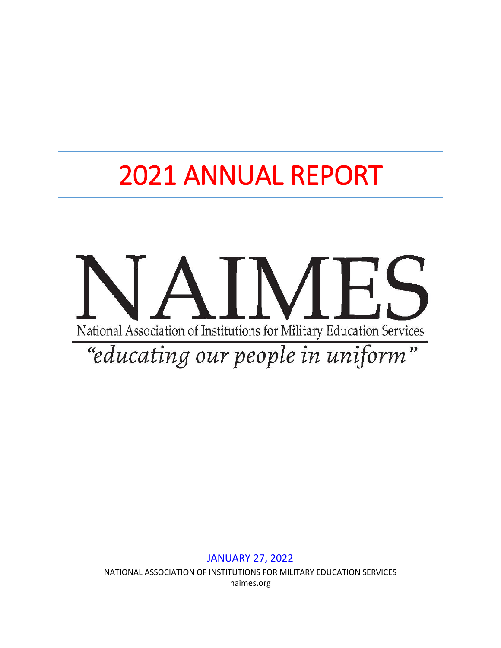# 2021 ANNUAL REPORT



NATIONAL ASSOCIATION OF INSTITUTIONS FOR MILITARY EDUCATION SERVICES naimes.org

JANUARY 27, 2022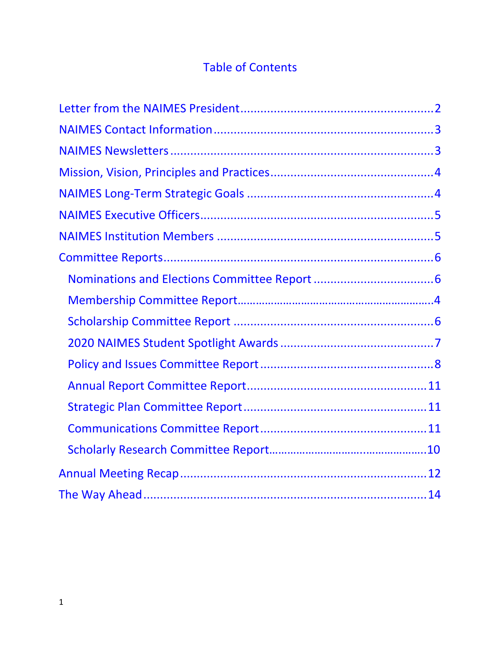## Table of Contents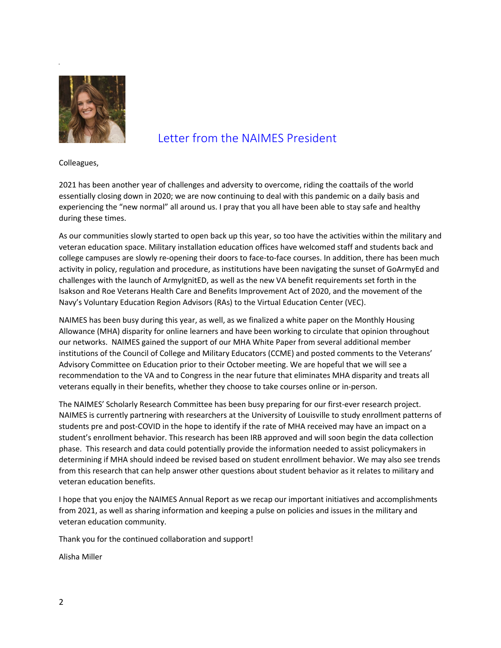

## <span id="page-2-0"></span>Letter from the NAIMES President

Colleagues,

2021 has been another year of challenges and adversity to overcome, riding the coattails of the world essentially closing down in 2020; we are now continuing to deal with this pandemic on a daily basis and experiencing the "new normal" all around us. I pray that you all have been able to stay safe and healthy during these times.

As our communities slowly started to open back up this year, so too have the activities within the military and veteran education space. Military installation education offices have welcomed staff and students back and college campuses are slowly re-opening their doors to face-to-face courses. In addition, there has been much activity in policy, regulation and procedure, as institutions have been navigating the sunset of GoArmyEd and challenges with the launch of ArmyIgnitED, as well as the new VA benefit requirements set forth in the Isakson and Roe Veterans Health Care and Benefits Improvement Act of 2020, and the movement of the Navy's Voluntary Education Region Advisors (RAs) to the Virtual Education Center (VEC).

NAIMES has been busy during this year, as well, as we finalized a white paper on the Monthly Housing Allowance (MHA) disparity for online learners and have been working to circulate that opinion throughout our networks. NAIMES gained the support of our MHA White Paper from several additional member institutions of the Council of College and Military Educators (CCME) and posted comments to the Veterans' Advisory Committee on Education prior to their October meeting. We are hopeful that we will see a recommendation to the VA and to Congress in the near future that eliminates MHA disparity and treats all veterans equally in their benefits, whether they choose to take courses online or in-person.

The NAIMES' Scholarly Research Committee has been busy preparing for our first-ever research project. NAIMES is currently partnering with researchers at the University of Louisville to study enrollment patterns of students pre and post-COVID in the hope to identify if the rate of MHA received may have an impact on a student's enrollment behavior. This research has been IRB approved and will soon begin the data collection phase. This research and data could potentially provide the information needed to assist policymakers in determining if MHA should indeed be revised based on student enrollment behavior. We may also see trends from this research that can help answer other questions about student behavior as it relates to military and veteran education benefits.

I hope that you enjoy the NAIMES Annual Report as we recap our important initiatives and accomplishments from 2021, as well as sharing information and keeping a pulse on policies and issues in the military and veteran education community.

Thank you for the continued collaboration and support!

Alisha Miller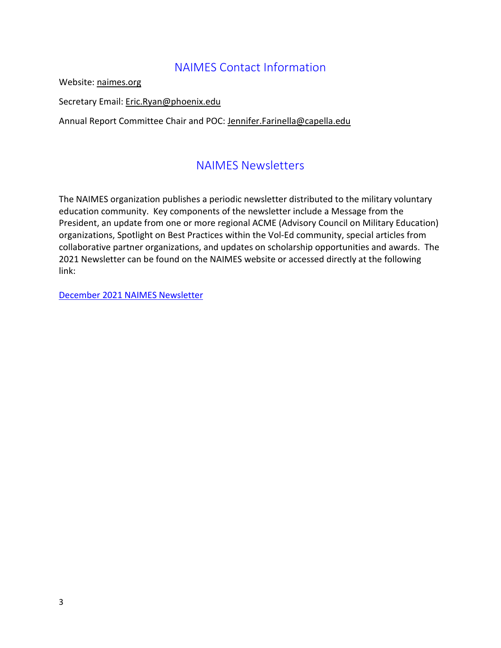## NAIMES Contact Information

<span id="page-3-0"></span>Website: [naimes.org](http://www.naimes.org/) 

Secretary Email: Eric.Ryan@phoenix.edu

<span id="page-3-1"></span>Annual Report Committee Chair and POC: [Jennifer.Farinella@capella.edu](mailto:Jennifer.Farinella@capella.edu)

## NAIMES Newsletters

The NAIMES organization publishes a periodic newsletter distributed to the military voluntary education community. Key components of the newsletter include a Message from the President, an update from one or more regional ACME (Advisory Council on Military Education) organizations, Spotlight on Best Practices within the Vol-Ed community, special articles from collaborative partner organizations, and updates on scholarship opportunities and awards. The 2021 Newsletter can be found on the NAIMES website or accessed directly at the following link:

<span id="page-3-2"></span>[December 2021 NAIMES Newsletter](https://urldefense.com/v3/__https:/mailchi.mp/2518f886863f/naimes-newsletter-december-2021__;!!POAF-4Fp!thsrLWqvI3zRnf-96yk96kC8m5O6EVO-hwyoxU9jH-1rie6dyFsEAweFZgxX-MEpq7H4EB0pbQ$)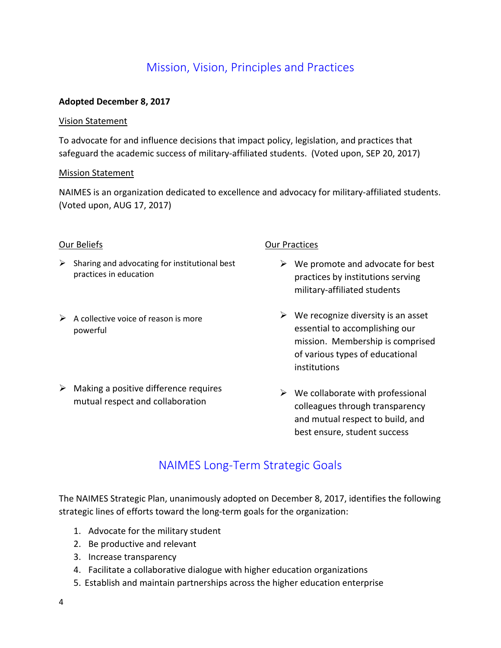## Mission, Vision, Principles and Practices

#### **Adopted December 8, 2017**

#### Vision Statement

To advocate for and influence decisions that impact policy, legislation, and practices that safeguard the academic success of military-affiliated students. (Voted upon, SEP 20, 2017)

#### Mission Statement

NAIMES is an organization dedicated to excellence and advocacy for military-affiliated students. (Voted upon, AUG 17, 2017)

#### Our Beliefs

- $\triangleright$  Sharing and advocating for institutional best practices in education
- $\triangleright$  A collective voice of reason is more powerful
- $\triangleright$  Making a positive difference requires mutual respect and collaboration

#### **Our Practices**

- $\triangleright$  We promote and advocate for best practices by institutions serving military-affiliated students
- $\triangleright$  We recognize diversity is an asset essential to accomplishing our mission. Membership is comprised of various types of educational institutions
- $\triangleright$  We collaborate with professional colleagues through transparency and mutual respect to build, and best ensure, student success

## NAIMES Long-Term Strategic Goals

<span id="page-4-0"></span>The NAIMES Strategic Plan, unanimously adopted on December 8, 2017, identifies the following strategic lines of efforts toward the long-term goals for the organization:

- 1. Advocate for the military student
- 2. Be productive and relevant
- 3. Increase transparency
- 4. Facilitate a collaborative dialogue with higher education organizations
- 5. Establish and maintain partnerships across the higher education enterprise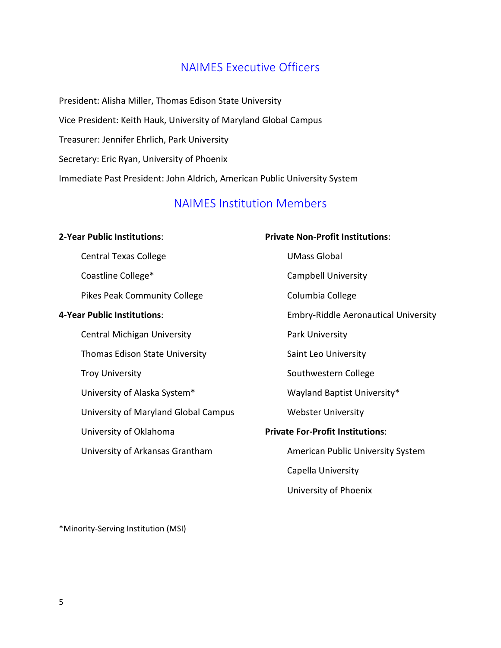### NAIMES Executive Officers

<span id="page-5-0"></span>President: Alisha Miller, Thomas Edison State University Vice President: Keith Hauk, University of Maryland Global Campus Treasurer: Jennifer Ehrlich, Park University Secretary: Eric Ryan, University of Phoenix Immediate Past President: John Aldrich, American Public University System

## NAIMES Institution Members

#### <span id="page-5-1"></span>**2-Year Public Institutions**:

Central Texas College Coastline College\*

Pikes Peak Community College

#### **4-Year Public Institutions**:

Central Michigan University Thomas Edison State University Troy University University of Alaska System\* University of Maryland Global Campus University of Oklahoma

University of Arkansas Grantham

#### **Private Non-Profit Institutions**:

UMass Global

Campbell University

Columbia College

Embry-Riddle Aeronautical University

Park University

Saint Leo University

Southwestern College

Wayland Baptist University\*

Webster University

#### **Private For-Profit Institutions**:

American Public University System

Capella University

University of Phoenix

\*Minority-Serving Institution (MSI)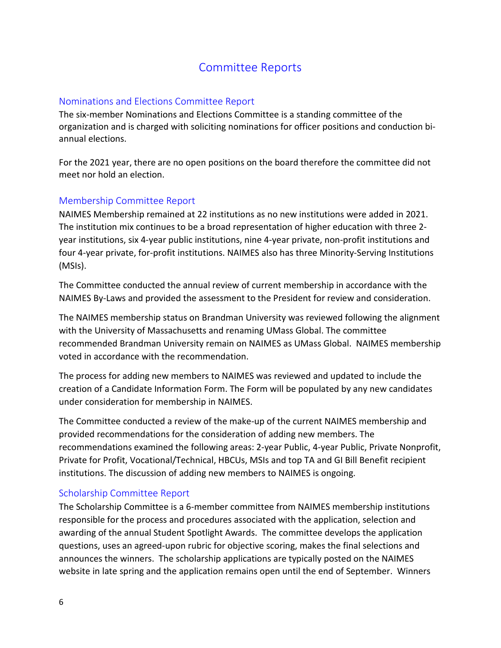## Committee Reports

#### <span id="page-6-1"></span><span id="page-6-0"></span>Nominations and Elections Committee Report

The six-member Nominations and Elections Committee is a standing committee of the organization and is charged with soliciting nominations for officer positions and conduction biannual elections.

For the 2021 year, there are no open positions on the board therefore the committee did not meet nor hold an election.

#### <span id="page-6-2"></span>Membership Committee Report

NAIMES Membership remained at 22 institutions as no new institutions were added in 2021. The institution mix continues to be a broad representation of higher education with three 2 year institutions, six 4-year public institutions, nine 4-year private, non-profit institutions and four 4-year private, for-profit institutions. NAIMES also has three Minority-Serving Institutions (MSIs).

The Committee conducted the annual review of current membership in accordance with the NAIMES By-Laws and provided the assessment to the President for review and consideration.

The NAIMES membership status on Brandman University was reviewed following the alignment with the University of Massachusetts and renaming UMass Global. The committee recommended Brandman University remain on NAIMES as UMass Global. NAIMES membership voted in accordance with the recommendation.

The process for adding new members to NAIMES was reviewed and updated to include the creation of a Candidate Information Form. The Form will be populated by any new candidates under consideration for membership in NAIMES.

The Committee conducted a review of the make-up of the current NAIMES membership and provided recommendations for the consideration of adding new members. The recommendations examined the following areas: 2-year Public, 4-year Public, Private Nonprofit, Private for Profit, Vocational/Technical, HBCUs, MSIs and top TA and GI Bill Benefit recipient institutions. The discussion of adding new members to NAIMES is ongoing.

#### <span id="page-6-3"></span>Scholarship Committee Report

The Scholarship Committee is a 6-member committee from NAIMES membership institutions responsible for the process and procedures associated with the application, selection and awarding of the annual Student Spotlight Awards. The committee develops the application questions, uses an agreed-upon rubric for objective scoring, makes the final selections and announces the winners. The scholarship applications are typically posted on the NAIMES website in late spring and the application remains open until the end of September. Winners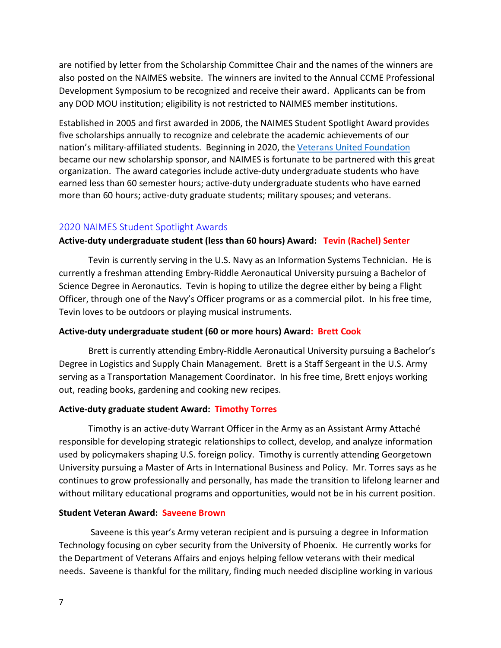are notified by letter from the Scholarship Committee Chair and the names of the winners are also posted on the NAIMES website. The winners are invited to the Annual CCME Professional Development Symposium to be recognized and receive their award. Applicants can be from any DOD MOU institution; eligibility is not restricted to NAIMES member institutions.

Established in 2005 and first awarded in 2006, the NAIMES Student Spotlight Award provides five scholarships annually to recognize and celebrate the academic achievements of our nation's military-affiliated students. Beginning in 2020, the [Veterans United Foundation](https://www.veteransunited.com/about/foundation/) became our new scholarship sponsor, and NAIMES is fortunate to be partnered with this great organization. The award categories include active-duty undergraduate students who have earned less than 60 semester hours; active-duty undergraduate students who have earned more than 60 hours; active-duty graduate students; military spouses; and veterans.

#### <span id="page-7-0"></span>2020 NAIMES Student Spotlight Awards

#### **Active-duty undergraduate student (less than 60 hours) Award: Tevin (Rachel) Senter**

Tevin is currently serving in the U.S. Navy as an Information Systems Technician. He is currently a freshman attending Embry-Riddle Aeronautical University pursuing a Bachelor of Science Degree in Aeronautics. Tevin is hoping to utilize the degree either by being a Flight Officer, through one of the Navy's Officer programs or as a commercial pilot. In his free time, Tevin loves to be outdoors or playing musical instruments.

#### **Active-duty undergraduate student (60 or more hours) Award: Brett Cook**

Brett is currently attending Embry-Riddle Aeronautical University pursuing a Bachelor's Degree in Logistics and Supply Chain Management. Brett is a Staff Sergeant in the U.S. Army serving as a Transportation Management Coordinator. In his free time, Brett enjoys working out, reading books, gardening and cooking new recipes.

#### **Active-duty graduate student Award: Timothy Torres**

Timothy is an active-duty Warrant Officer in the Army as an Assistant Army Attaché responsible for developing strategic relationships to collect, develop, and analyze information used by policymakers shaping U.S. foreign policy. Timothy is currently attending Georgetown University pursuing a Master of Arts in International Business and Policy. Mr. Torres says as he continues to grow professionally and personally, has made the transition to lifelong learner and without military educational programs and opportunities, would not be in his current position.

#### **Student Veteran Award: Saveene Brown**

Saveene is this year's Army veteran recipient and is pursuing a degree in Information Technology focusing on cyber security from the University of Phoenix. He currently works for the Department of Veterans Affairs and enjoys helping fellow veterans with their medical needs. Saveene is thankful for the military, finding much needed discipline working in various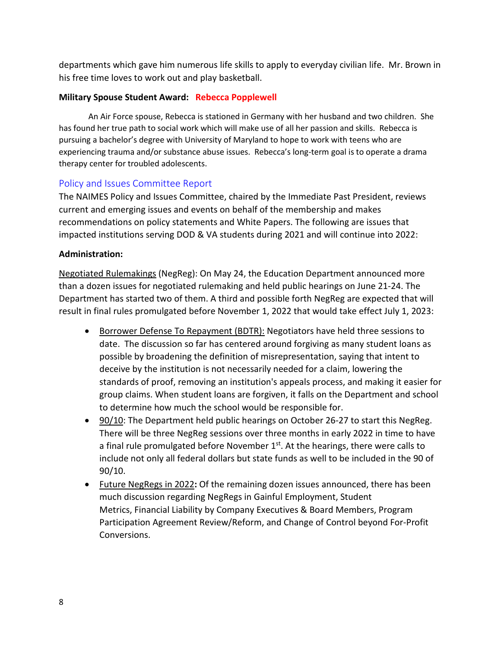departments which gave him numerous life skills to apply to everyday civilian life. Mr. Brown in his free time loves to work out and play basketball.

#### **Military Spouse Student Award: Rebecca Popplewell**

An Air Force spouse, Rebecca is stationed in Germany with her husband and two children. She has found her true path to social work which will make use of all her passion and skills. Rebecca is pursuing a bachelor's degree with University of Maryland to hope to work with teens who are experiencing trauma and/or substance abuse issues. Rebecca's long-term goal is to operate a drama therapy center for troubled adolescents.

#### <span id="page-8-0"></span>Policy and Issues Committee Report

The NAIMES Policy and Issues Committee, chaired by the Immediate Past President, reviews current and emerging issues and events on behalf of the membership and makes recommendations on policy statements and White Papers. The following are issues that impacted institutions serving DOD & VA students during 2021 and will continue into 2022:

#### **Administration:**

Negotiated Rulemakings (NegReg): On May 24, the Education Department announced more than a dozen issues for negotiated rulemaking and held public hearings on June 21-24. The Department has started two of them. A third and possible forth NegReg are expected that will result in final rules promulgated before November 1, 2022 that would take effect July 1, 2023:

- Borrower Defense To Repayment (BDTR): Negotiators have held three sessions to date. The discussion so far has centered around forgiving as many student loans as possible by broadening the definition of misrepresentation, saying that intent to deceive by the institution is not necessarily needed for a claim, lowering the standards of proof, removing an institution's appeals process, and making it easier for group claims. When student loans are forgiven, it falls on the Department and school to determine how much the school would be responsible for.
- 90/10: The Department held public hearings on October 26-27 to start this NegReg. There will be three NegReg sessions over three months in early 2022 in time to have a final rule promulgated before November  $1<sup>st</sup>$ . At the hearings, there were calls to include not only all federal dollars but state funds as well to be included in the 90 of 90/10.
- Future NegRegs in 2022**:** Of the remaining dozen issues announced, there has been much discussion regarding NegRegs in Gainful Employment, Student Metrics, Financial Liability by Company Executives & Board Members, Program Participation Agreement Review/Reform, and Change of Control beyond For-Profit Conversions.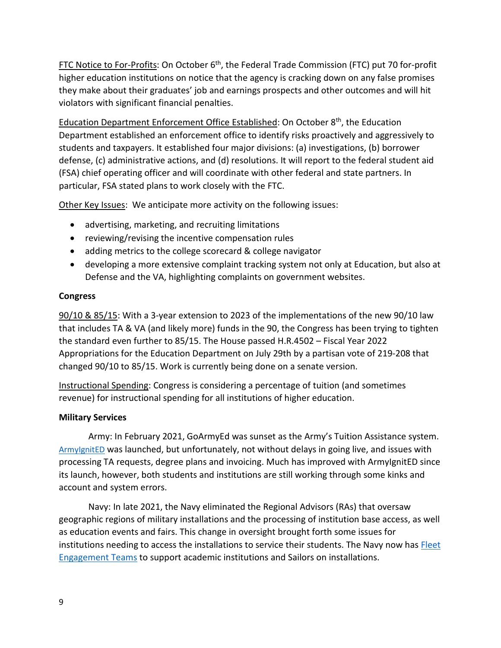FTC Notice to For-Profits: On October  $6<sup>th</sup>$ , the Federal Trade Commission (FTC) put 70 for-profit higher education institutions on notice that the agency is cracking down on any false promises they make about their graduates' job and earnings prospects and other outcomes and will hit violators with significant financial penalties.

Education Department Enforcement Office Established: On October 8th, the Education Department established an enforcement office to identify risks proactively and aggressively to students and taxpayers. It established four major divisions: (a) investigations, (b) borrower defense, (c) administrative actions, and (d) resolutions. It will report to the federal student aid (FSA) chief operating officer and will coordinate with other federal and state partners. In particular, FSA stated plans to work closely with the FTC.

Other Key Issues: We anticipate more activity on the following issues:

- advertising, marketing, and recruiting limitations
- reviewing/revising the incentive compensation rules
- adding metrics to the college scorecard & college navigator
- developing a more extensive complaint tracking system not only at Education, but also at Defense and the VA, highlighting complaints on government websites.

#### **Congress**

90/10 & 85/15: With a 3-year extension to 2023 of the implementations of the new 90/10 law that includes TA & VA (and likely more) funds in the 90, the Congress has been trying to tighten the standard even further to 85/15. The House passed H.R.4502 – Fiscal Year 2022 Appropriations for the Education Department on July 29th by a partisan vote of 219-208 that changed 90/10 to 85/15. Work is currently being done on a senate version.

Instructional Spending: Congress is considering a percentage of tuition (and sometimes revenue) for instructional spending for all institutions of higher education.

#### **Military Services**

Army: In February 2021, GoArmyEd was sunset as the Army's Tuition Assistance system. [ArmyIgnitED](https://www.armyignited.com/app/) was launched, but unfortunately, not without delays in going live, and issues with processing TA requests, degree plans and invoicing. Much has improved with ArmyIgnitED since its launch, however, both students and institutions are still working through some kinks and account and system errors.

Navy: In late 2021, the Navy eliminated the Regional Advisors (RAs) that oversaw geographic regions of military installations and the processing of institution base access, as well as education events and fairs. This change in oversight brought forth some issues for institutions needing to access the installations to service their students. The Navy now has Fleet [Engagement Teams](https://www.navycollege.navy.mil/institutions/region-advisors.htm) to support academic institutions and Sailors on installations.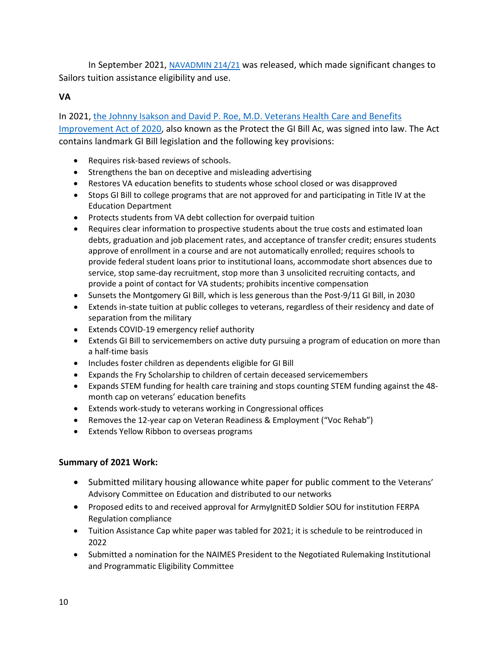In September 2021, [NAVADMIN 214/21](https://www.navycollege.navy.mil/docs/NAV21214.pdf) was released, which made significant changes to Sailors tuition assistance eligibility and use.

#### **VA**

In 2021, [the Johnny Isakson and David P. Roe, M.D. Veterans Health Care and Benefits](https://www.congress.gov/bill/116th-congress/house-bill/7105/text?q=%7B%22search%22%3A%5B%22hr7105%22%5D%7D&r=1&s=3)  [Improvement Act of 2020,](https://www.congress.gov/bill/116th-congress/house-bill/7105/text?q=%7B%22search%22%3A%5B%22hr7105%22%5D%7D&r=1&s=3) also known as the Protect the GI Bill Ac, was signed into law. The Act contains landmark GI Bill legislation and the following key provisions:

- Requires risk-based reviews of schools.
- Strengthens the ban on deceptive and misleading advertising
- Restores VA education benefits to students whose school closed or was disapproved
- Stops GI Bill to college programs that are not approved for and participating in Title IV at the Education Department
- Protects students from VA debt collection for overpaid tuition
- Requires clear information to prospective students about the true costs and estimated loan debts, graduation and job placement rates, and acceptance of transfer credit; ensures students approve of enrollment in a course and are not automatically enrolled; requires schools to provide federal student loans prior to institutional loans, accommodate short absences due to service, stop same-day recruitment, stop more than 3 unsolicited recruiting contacts, and provide a point of contact for VA students; prohibits incentive compensation
- Sunsets the Montgomery GI Bill, which is less generous than the Post-9/11 GI Bill, in 2030
- Extends in-state tuition at public colleges to veterans, regardless of their residency and date of separation from the military
- Extends COVID-19 emergency relief authority
- Extends GI Bill to servicemembers on active duty pursuing a program of education on more than a half-time basis
- Includes foster children as dependents eligible for GI Bill
- Expands the Fry Scholarship to children of certain deceased servicemembers
- Expands STEM funding for health care training and stops counting STEM funding against the 48 month cap on veterans' education benefits
- Extends work-study to veterans working in Congressional offices
- Removes the 12-year cap on Veteran Readiness & Employment ("Voc Rehab")
- Extends Yellow Ribbon to overseas programs

#### **Summary of 2021 Work:**

- Submitted military housing allowance white paper for public comment to the Veterans' Advisory Committee on Education and distributed to our networks
- Proposed edits to and received approval for ArmyIgnitED Soldier SOU for institution FERPA Regulation compliance
- Tuition Assistance Cap white paper was tabled for 2021; it is schedule to be reintroduced in 2022
- Submitted a nomination for the NAIMES President to the Negotiated Rulemaking Institutional and Programmatic Eligibility Committee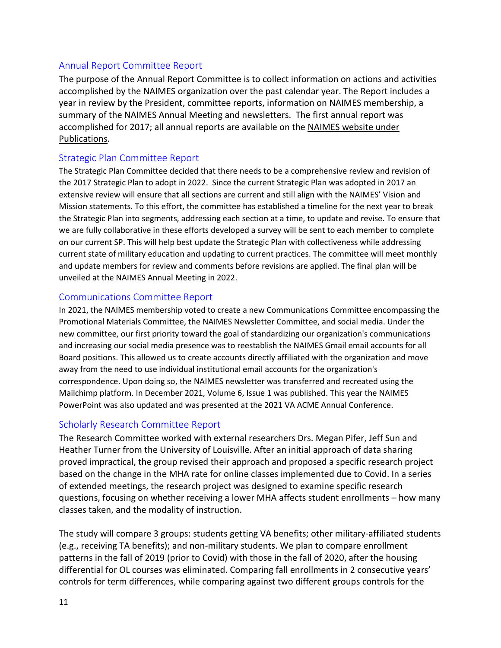#### <span id="page-11-0"></span>Annual Report Committee Report

The purpose of the Annual Report Committee is to collect information on actions and activities accomplished by the NAIMES organization over the past calendar year. The Report includes a year in review by the President, committee reports, information on NAIMES membership, a summary of the NAIMES Annual Meeting and newsletters. The first annual report was accomplished for 2017; all annual reports are available on the NAIMES [website under](http://naimes.org/)  [Publications.](http://naimes.org/)

#### <span id="page-11-1"></span>Strategic Plan Committee Report

The Strategic Plan Committee decided that there needs to be a comprehensive review and revision of the 2017 Strategic Plan to adopt in 2022. Since the current Strategic Plan was adopted in 2017 an extensive review will ensure that all sections are current and still align with the NAIMES' Vision and Mission statements. To this effort, the committee has established a timeline for the next year to break the Strategic Plan into segments, addressing each section at a time, to update and revise. To ensure that we are fully collaborative in these efforts developed a survey will be sent to each member to complete on our current SP. This will help best update the Strategic Plan with collectiveness while addressing current state of military education and updating to current practices. The committee will meet monthly and update members for review and comments before revisions are applied. The final plan will be unveiled at the NAIMES Annual Meeting in 2022.

#### <span id="page-11-2"></span>Communications Committee Report

In 2021, the NAIMES membership voted to create a new Communications Committee encompassing the Promotional Materials Committee, the NAIMES Newsletter Committee, and social media. Under the new committee, our first priority toward the goal of standardizing our organization's communications and increasing our social media presence was to reestablish the NAIMES Gmail email accounts for all Board positions. This allowed us to create accounts directly affiliated with the organization and move away from the need to use individual institutional email accounts for the organization's correspondence. Upon doing so, the NAIMES newsletter was transferred and recreated using the Mailchimp platform. In December 2021, Volume 6, Issue 1 was published. This year the NAIMES PowerPoint was also updated and was presented at the 2021 VA ACME Annual Conference.

#### <span id="page-11-3"></span>Scholarly Research Committee Report

The Research Committee worked with external researchers Drs. Megan Pifer, Jeff Sun and Heather Turner from the University of Louisville. After an initial approach of data sharing proved impractical, the group revised their approach and proposed a specific research project based on the change in the MHA rate for online classes implemented due to Covid. In a series of extended meetings, the research project was designed to examine specific research questions, focusing on whether receiving a lower MHA affects student enrollments – how many classes taken, and the modality of instruction.

The study will compare 3 groups: students getting VA benefits; other military-affiliated students (e.g., receiving TA benefits); and non-military students. We plan to compare enrollment patterns in the fall of 2019 (prior to Covid) with those in the fall of 2020, after the housing differential for OL courses was eliminated. Comparing fall enrollments in 2 consecutive years' controls for term differences, while comparing against two different groups controls for the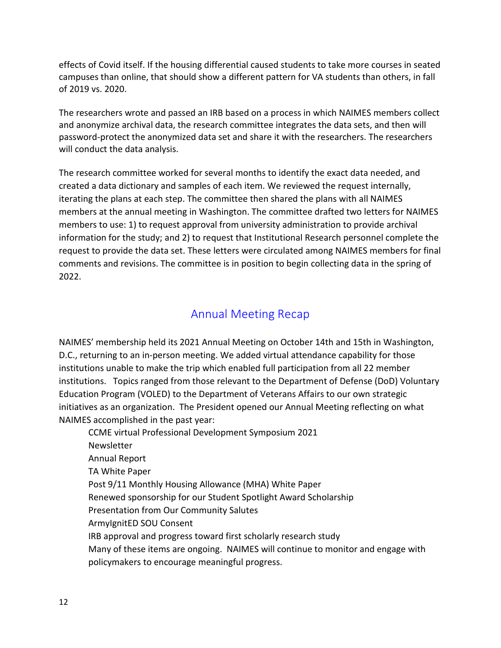effects of Covid itself. If the housing differential caused students to take more courses in seated campuses than online, that should show a different pattern for VA students than others, in fall of 2019 vs. 2020.

The researchers wrote and passed an IRB based on a process in which NAIMES members collect and anonymize archival data, the research committee integrates the data sets, and then will password-protect the anonymized data set and share it with the researchers. The researchers will conduct the data analysis.

The research committee worked for several months to identify the exact data needed, and created a data dictionary and samples of each item. We reviewed the request internally, iterating the plans at each step. The committee then shared the plans with all NAIMES members at the annual meeting in Washington. The committee drafted two letters for NAIMES members to use: 1) to request approval from university administration to provide archival information for the study; and 2) to request that Institutional Research personnel complete the request to provide the data set. These letters were circulated among NAIMES members for final comments and revisions. The committee is in position to begin collecting data in the spring of 2022.

## Annual Meeting Recap

<span id="page-12-0"></span>NAIMES' membership held its 2021 Annual Meeting on October 14th and 15th in Washington, D.C., returning to an in-person meeting. We added virtual attendance capability for those institutions unable to make the trip which enabled full participation from all 22 member institutions. Topics ranged from those relevant to the Department of Defense (DoD) Voluntary Education Program (VOLED) to the Department of Veterans Affairs to our own strategic initiatives as an organization. The President opened our Annual Meeting reflecting on what NAIMES accomplished in the past year:

CCME virtual Professional Development Symposium 2021 Newsletter Annual Report TA White Paper Post 9/11 Monthly Housing Allowance (MHA) White Paper Renewed sponsorship for our Student Spotlight Award Scholarship Presentation from Our Community Salutes ArmyIgnitED SOU Consent IRB approval and progress toward first scholarly research study Many of these items are ongoing. NAIMES will continue to monitor and engage with policymakers to encourage meaningful progress.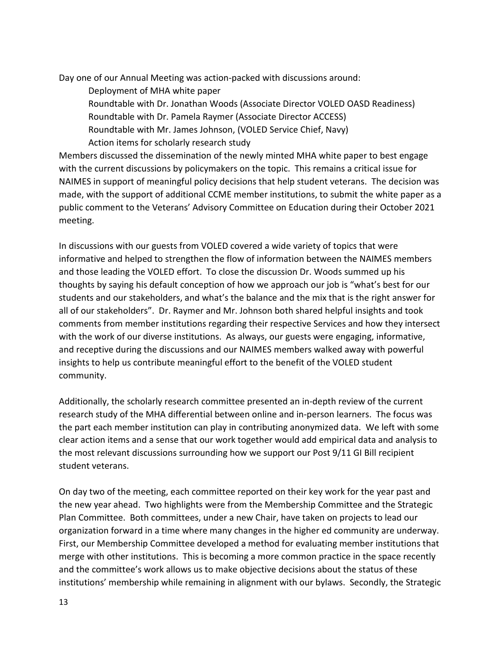Day one of our Annual Meeting was action-packed with discussions around:

Deployment of MHA white paper Roundtable with Dr. Jonathan Woods (Associate Director VOLED OASD Readiness) Roundtable with Dr. Pamela Raymer (Associate Director ACCESS) Roundtable with Mr. James Johnson, (VOLED Service Chief, Navy) Action items for scholarly research study

Members discussed the dissemination of the newly minted MHA white paper to best engage with the current discussions by policymakers on the topic. This remains a critical issue for NAIMES in support of meaningful policy decisions that help student veterans. The decision was made, with the support of additional CCME member institutions, to submit the white paper as a public comment to the Veterans' Advisory Committee on Education during their October 2021 meeting.

In discussions with our guests from VOLED covered a wide variety of topics that were informative and helped to strengthen the flow of information between the NAIMES members and those leading the VOLED effort. To close the discussion Dr. Woods summed up his thoughts by saying his default conception of how we approach our job is "what's best for our students and our stakeholders, and what's the balance and the mix that is the right answer for all of our stakeholders". Dr. Raymer and Mr. Johnson both shared helpful insights and took comments from member institutions regarding their respective Services and how they intersect with the work of our diverse institutions. As always, our guests were engaging, informative, and receptive during the discussions and our NAIMES members walked away with powerful insights to help us contribute meaningful effort to the benefit of the VOLED student community.

Additionally, the scholarly research committee presented an in-depth review of the current research study of the MHA differential between online and in-person learners. The focus was the part each member institution can play in contributing anonymized data. We left with some clear action items and a sense that our work together would add empirical data and analysis to the most relevant discussions surrounding how we support our Post 9/11 GI Bill recipient student veterans.

On day two of the meeting, each committee reported on their key work for the year past and the new year ahead. Two highlights were from the Membership Committee and the Strategic Plan Committee. Both committees, under a new Chair, have taken on projects to lead our organization forward in a time where many changes in the higher ed community are underway. First, our Membership Committee developed a method for evaluating member institutions that merge with other institutions. This is becoming a more common practice in the space recently and the committee's work allows us to make objective decisions about the status of these institutions' membership while remaining in alignment with our bylaws. Secondly, the Strategic